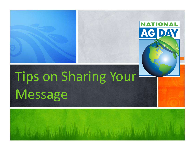## Tips on Sharing Your Message

**NATIONAL** 

AG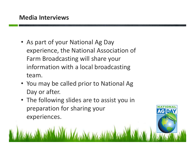- As part of your National Ag Day experience, the National Association of Farm Broadcasting will share your information with a local broadcasting team.
- You may be called prior to National Ag Day or after.
- The following slides are to assist you in preparation for sharing your experiences.

**AGD**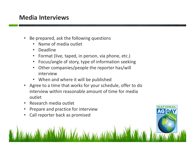## Media Interviews

- Be prepared, ask the following questions
	- Name of media outlet
	- Deadline
	- Format (live, taped, in person, via phone, etc.)
	- Focus/angle of story, type of information seeking
	- Other companies/people the reporter has/will interview
	- When and where it will be published
- Agree to a time that works for your schedule, offer to do interview within reasonable amount of time for media outlet

AG D

- Research media outlet
- Prepare and practice for interview
- Call reporter back as promised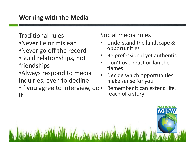Traditional rules

- •Never lie or mislead
- •Never go off the record
- •Build relationships, not friendships
- •Always respond to media inquiries, even to decline
- •If you agree to interview, do it

## Social media rules

- Understand the landscape & opportunities
- Be professional yet authentic
- Don't overreact or fan the flames
- Decide which opportunities make sense for you
- Remember it can extend life, reach of a story

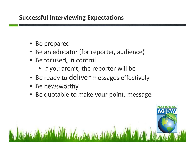## Successful Interviewing Expectations

- Be prepared
- Be an educator (for reporter, audience)
- Be focused, in control
	- If you aren't, the reporter will be
- Be ready to deliver messages effectively
- Be newsworthy
- Be quotable to make your point, message